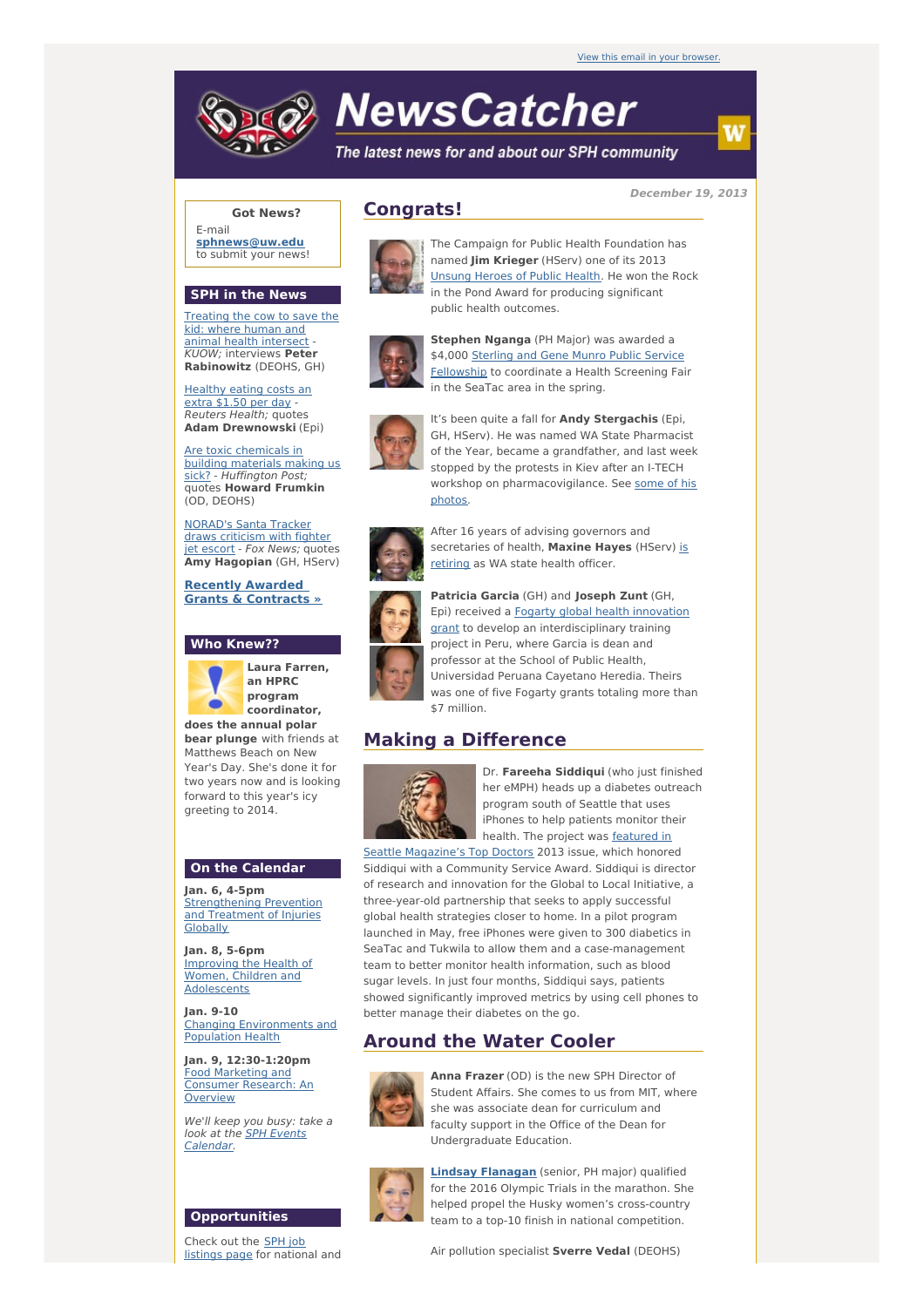

# **NewsCatcher**

The latest news for and about our SPH community

**December 19, 2013**

#### **Got News?**

E-mail **[sphnews@uw.edu](mailto:sphnews@uw.edu)** to submit your news!

#### **SPH in the News**

[Treating](http://engage.washington.edu/site/R?i=SOG5ynsJpFegB6pmpNBi_g) the cow to save the kid: where human and animal health intersect -KUOW; interviews **Peter Rabinowitz** (DEOHS, GH)

[Healthy](http://engage.washington.edu/site/R?i=lQ57ijP3h1GKgRIP9I5YFA) eating costs an extra \$1.50 per day - Reuters Health; quotes **Adam Drewnowski** (Epi)

Are toxic [chemicals](http://engage.washington.edu/site/R?i=wLKVeJvbKt747l4eWv5xcw) in building materials making us sick? - Huffington Post; quotes **Howard Frumkin** (OD, DEOHS)

[NORAD's](http://engage.washington.edu/site/R?i=1uDd9HVoNn5JfJy_4PFhrg) Santa Tracker draws criticism with fighter jet escort - Fox News; quotes **Amy Hagopian** (GH, HServ)

**Recently Awarded Grants & [Contracts](http://engage.washington.edu/site/R?i=TY44tyXw27Zqe46AxAZQYw) »**

### **Who Knew??**



**Laura Farren, an HPRC program coordinator, does the annual polar**

**bear plunge** with friends at Matthews Beach on New Year's Day. She's done it for two years now and is looking forward to this year's icy greeting to 2014.

#### **On the Calendar**

**Jan. 6, 4-5pm** [Strengthening](http://engage.washington.edu/site/R?i=5-yHpD5V7qLqa-a2qIkJdA) Prevention and Treatment of Injuries **Globally** 

**Jan. 8, 5-6pm** Improving the Health of Women, Children and [Adolescents](http://engage.washington.edu/site/R?i=xy5UnZjTXwt4-acbN5PGIw)

**Jan. 9-10** Changing [Environments](http://engage.washington.edu/site/R?i=qe9cQdVQeL1wh_Oi9tc0Dg) and Population Health

**Jan. 9, 12:30-1:20pm** Food Marketing and [Consumer](http://engage.washington.edu/site/R?i=KgdEOmfQqsB2s4BTeEOO0g) Research: An **Overview** 

We'll keep you busy: take a look at the **SPH Events** [Calendar.](http://engage.washington.edu/site/R?i=oGM8ZnBiyndsXio-H12i8w)

#### **Opportunities**

Check out the SPH job [listings](http://engage.washington.edu/site/R?i=oyV6bxwkqT4YRxrm3tvqgw) page for national and





The Campaign for Public Health Foundation has named **Jim Krieger** (HServ) one of its 2013 [Unsung](http://engage.washington.edu/site/R?i=Y8_wyL3dUbcoMLphHa0GAg) Heroes of Public Health. He won the Rock in the Pond Award for producing significant public health outcomes.



**Stephen Nganga** (PH Major) was awarded a \$4,000 Sterling and Gene Munro Public Service Fellowship to [coordinate](http://engage.washington.edu/site/R?i=vOc4Xx9YKOPv1N1EkC4yLg) a Health Screening Fair in the SeaTac area in the spring.



It's been quite a fall for **Andy Stergachis** (Epi, GH, HServ). He was named WA State Pharmacist of the Year, became a grandfather, and last week stopped by the protests in Kiev after an I-TECH workshop on [pharmacovigilance.](http://engage.washington.edu/site/R?i=4vbZ9OaKU4prrzVnV-0PFw) See some of his photos.



After 16 years of advising governors and [secretaries](http://engage.washington.edu/site/R?i=GRxe1NW14ShpKtDW2cRv4Q) of health, **Maxine Hayes** (HServ) is retiring as WA state health officer.



**Patricia Garcia** (GH) and **Joseph Zunt** (GH, Epi) received a Fogarty global health innovation grant to develop an [interdisciplinary](http://engage.washington.edu/site/R?i=WGOEqD-wtox-5i816m6jUw) training project in Peru, where Garcia is dean and professor at the School of Public Health, Universidad Peruana Cayetano Heredia. Theirs was one of five Fogarty grants totaling more than \$7 million.

## **Making a Difference**



Dr. **Fareeha Siddiqui** (who just finished her eMPH) heads up a diabetes outreach program south of Seattle that uses iPhones to help patients monitor their health. The project was **featured** in

Seattle [Magazine's](http://engage.washington.edu/site/R?i=EYfZdpz_PdHOmDGIJBGxdQ) Top Doctors 2013 issue, which honored Siddiqui with a Community Service Award. Siddiqui is director of research and innovation for the Global to Local Initiative, a three-year-old partnership that seeks to apply successful global health strategies closer to home. In a pilot program launched in May, free iPhones were given to 300 diabetics in SeaTac and Tukwila to allow them and a case-management team to better monitor health information, such as blood sugar levels. In just four months, Siddiqui says, patients showed significantly improved metrics by using cell phones to better manage their diabetes on the go.

## **Around the Water Cooler**



**Anna Frazer** (OD) is the new SPH Director of Student Affairs. She comes to us from MIT, where she was associate dean for curriculum and faculty support in the Office of the Dean for Undergraduate Education.



**Lindsay [Flanagan](http://engage.washington.edu/site/R?i=GeUJ3_K9HK9UmP8B_6yR-w)** (senior, PH major) qualified for the 2016 Olympic Trials in the marathon. She helped propel the Husky women's cross-country team to a top-10 finish in national competition.

Air pollution specialist **Sverre Vedal** (DEOHS)